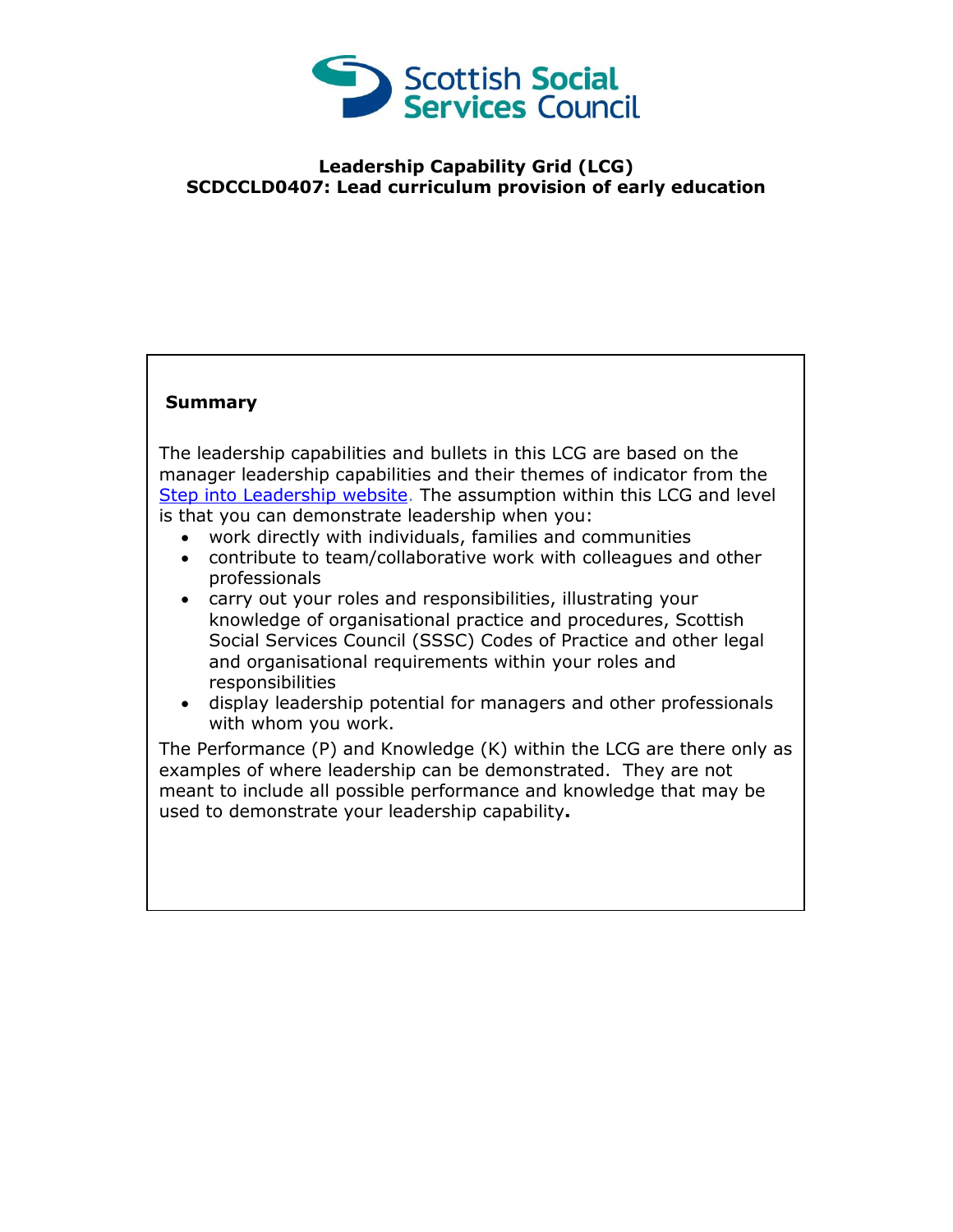

## **Leadership Capability Grid (LCG) SCDCCLD0407: Lead curriculum provision of early education**

## **Summary**

The leadership capabilities and bullets in this LCG are based on the manager leadership capabilities and their themes of indicator from the [Step into Leadership website.](http://www.stepintoleadership.info/) The assumption within this LCG and level is that you can demonstrate leadership when you:

- work directly with individuals, families and communities
- contribute to team/collaborative work with colleagues and other professionals
- carry out your roles and responsibilities, illustrating your knowledge of organisational practice and procedures, Scottish Social Services Council (SSSC) Codes of Practice and other legal and organisational requirements within your roles and responsibilities
- display leadership potential for managers and other professionals with whom you work.

The Performance (P) and Knowledge (K) within the LCG are there only as examples of where leadership can be demonstrated. They are not meant to include all possible performance and knowledge that may be used to demonstrate your leadership capability**.**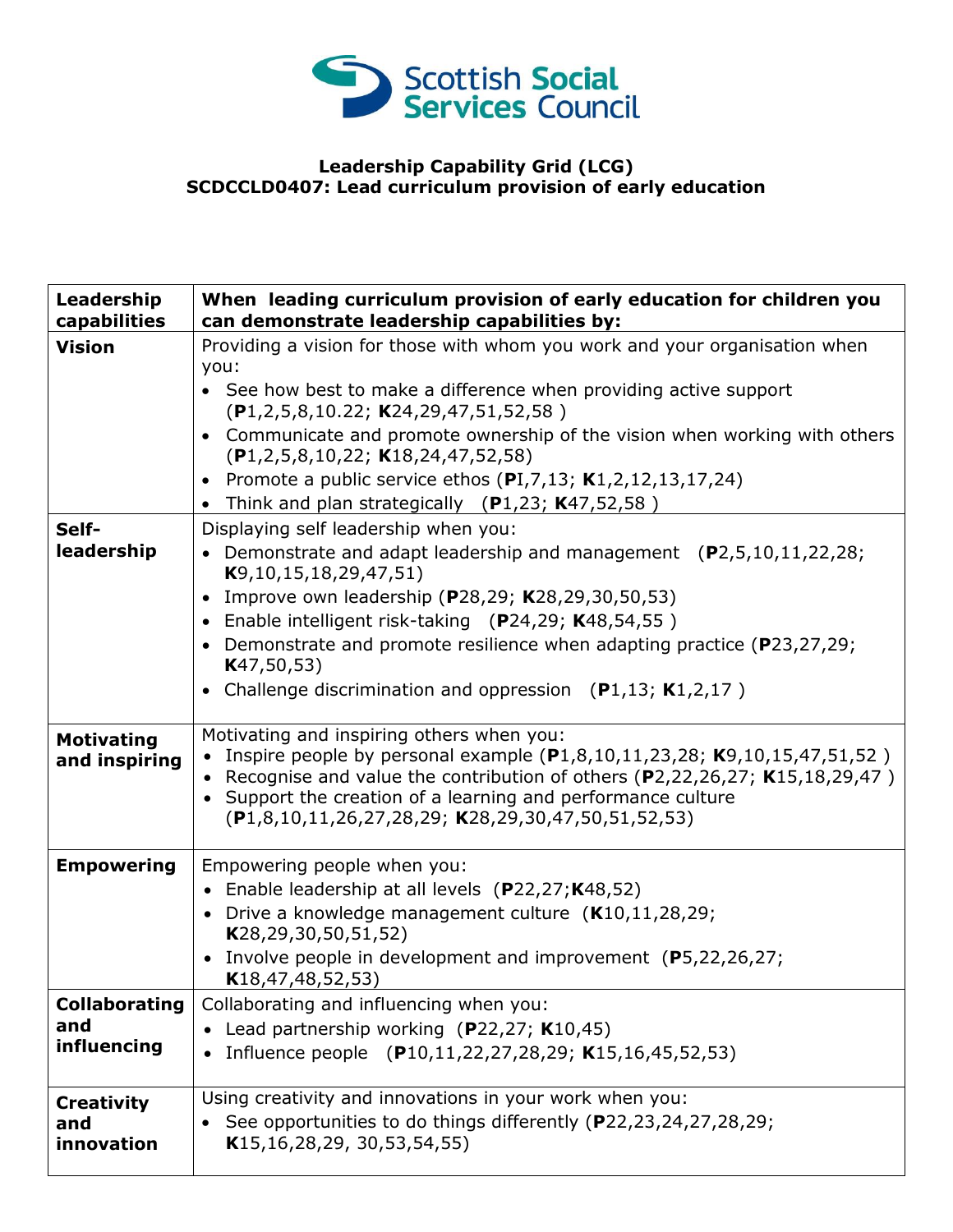

## **Leadership Capability Grid (LCG) SCDCCLD0407: Lead curriculum provision of early education**

| Leadership<br>capabilities         | When leading curriculum provision of early education for children you<br>can demonstrate leadership capabilities by:                                                                                                                                                                                                                    |
|------------------------------------|-----------------------------------------------------------------------------------------------------------------------------------------------------------------------------------------------------------------------------------------------------------------------------------------------------------------------------------------|
| <b>Vision</b>                      | Providing a vision for those with whom you work and your organisation when<br>you:                                                                                                                                                                                                                                                      |
|                                    | • See how best to make a difference when providing active support<br>$(P1, 2, 5, 8, 10.22; K24, 29, 47, 51, 52, 58)$                                                                                                                                                                                                                    |
|                                    | Communicate and promote ownership of the vision when working with others<br>$(P1, 2, 5, 8, 10, 22; K18, 24, 47, 52, 58)$                                                                                                                                                                                                                |
|                                    | • Promote a public service ethos $(PI, 7, 13, K1, 2, 12, 13, 17, 24)$                                                                                                                                                                                                                                                                   |
|                                    | • Think and plan strategically $(P1,23; K47,52,58)$                                                                                                                                                                                                                                                                                     |
| Self-                              | Displaying self leadership when you:                                                                                                                                                                                                                                                                                                    |
| leadership                         | • Demonstrate and adapt leadership and management (P2,5,10,11,22,28;<br>K9, 10, 15, 18, 29, 47, 51)                                                                                                                                                                                                                                     |
|                                    | • Improve own leadership (P28,29; K28,29,30,50,53)                                                                                                                                                                                                                                                                                      |
|                                    | • Enable intelligent risk-taking (P24,29; K48,54,55)                                                                                                                                                                                                                                                                                    |
|                                    | • Demonstrate and promote resilience when adapting practice (P23,27,29;<br>K47, 50, 53)                                                                                                                                                                                                                                                 |
|                                    | • Challenge discrimination and oppression $(P1,13; K1,2,17)$                                                                                                                                                                                                                                                                            |
| <b>Motivating</b><br>and inspiring | Motivating and inspiring others when you:<br>• Inspire people by personal example $(P1,8,10,11,23,28; K9,10,15,47,51,52)$<br>• Recognise and value the contribution of others $(P2, 22, 26, 27; K15, 18, 29, 47)$<br>• Support the creation of a learning and performance culture<br>(P1,8,10,11,26,27,28,29; K28,29,30,47,50,51,52,53) |
| <b>Empowering</b>                  | Empowering people when you:                                                                                                                                                                                                                                                                                                             |
|                                    | • Enable leadership at all levels (P22,27;K48,52)                                                                                                                                                                                                                                                                                       |
|                                    | • Drive a knowledge management culture $(K10, 11, 28, 29)$ ;<br>K28,29,30,50,51,52)                                                                                                                                                                                                                                                     |
|                                    | • Involve people in development and improvement (P5,22,26,27;<br>K18, 47, 48, 52, 53                                                                                                                                                                                                                                                    |
| <b>Collaborating</b>               | Collaborating and influencing when you:                                                                                                                                                                                                                                                                                                 |
| and                                | • Lead partnership working (P22,27; K10,45)                                                                                                                                                                                                                                                                                             |
| influencing                        | Influence people (P10,11,22,27,28,29; K15,16,45,52,53)                                                                                                                                                                                                                                                                                  |
| <b>Creativity</b>                  | Using creativity and innovations in your work when you:                                                                                                                                                                                                                                                                                 |
| and                                | See opportunities to do things differently (P22,23,24,27,28,29;                                                                                                                                                                                                                                                                         |
| innovation                         | K15, 16, 28, 29, 30, 53, 54, 55)                                                                                                                                                                                                                                                                                                        |